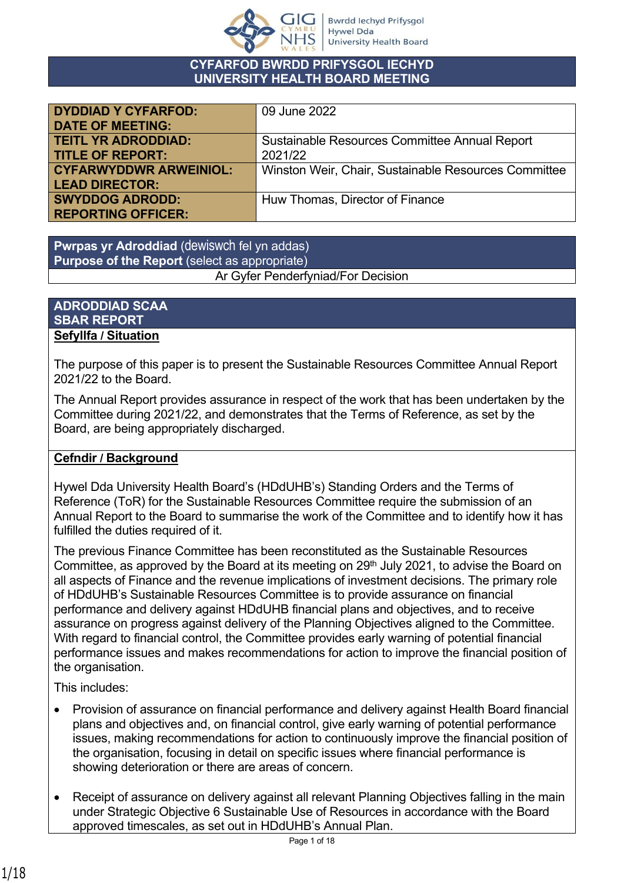

#### **CYFARFOD BWRDD PRIFYSGOL IECHYD UNIVERSITY HEALTH BOARD MEETING**

| <b>DYDDIAD Y CYFARFOD:</b>    | 09 June 2022                                         |
|-------------------------------|------------------------------------------------------|
| <b>DATE OF MEETING:</b>       |                                                      |
| <b>TEITL YR ADRODDIAD:</b>    | Sustainable Resources Committee Annual Report        |
| <b>TITLE OF REPORT:</b>       | 2021/22                                              |
| <b>CYFARWYDDWR ARWEINIOL:</b> | Winston Weir, Chair, Sustainable Resources Committee |
| <b>LEAD DIRECTOR:</b>         |                                                      |
| <b>SWYDDOG ADRODD:</b>        | Huw Thomas, Director of Finance                      |
| <b>REPORTING OFFICER:</b>     |                                                      |

**Pwrpas yr Adroddiad** (dewiswch fel yn addas) **Purpose of the Report** (select as appropriate)

Ar Gyfer Penderfyniad/For Decision

#### **ADRODDIAD SCAA SBAR REPORT Sefyllfa / Situation**

The purpose of this paper is to present the Sustainable Resources Committee Annual Report 2021/22 to the Board.

The Annual Report provides assurance in respect of the work that has been undertaken by the Committee during 2021/22, and demonstrates that the Terms of Reference, as set by the Board, are being appropriately discharged.

## **Cefndir / Background**

Hywel Dda University Health Board's (HDdUHB's) Standing Orders and the Terms of Reference (ToR) for the Sustainable Resources Committee require the submission of an Annual Report to the Board to summarise the work of the Committee and to identify how it has fulfilled the duties required of it.

The previous Finance Committee has been reconstituted as the Sustainable Resources Committee, as approved by the Board at its meeting on 29<sup>th</sup> July 2021, to advise the Board on all aspects of Finance and the revenue implications of investment decisions. The primary role of HDdUHB's Sustainable Resources Committee is to provide assurance on financial performance and delivery against HDdUHB financial plans and objectives, and to receive assurance on progress against delivery of the Planning Objectives aligned to the Committee. With regard to financial control, the Committee provides early warning of potential financial performance issues and makes recommendations for action to improve the financial position of the organisation.

This includes:

- Provision of assurance on financial performance and delivery against Health Board financial plans and objectives and, on financial control, give early warning of potential performance issues, making recommendations for action to continuously improve the financial position of the organisation, focusing in detail on specific issues where financial performance is showing deterioration or there are areas of concern.
- Receipt of assurance on delivery against all relevant Planning Objectives falling in the main under Strategic Objective 6 Sustainable Use of Resources in accordance with the Board approved timescales, as set out in HDdUHB's Annual Plan.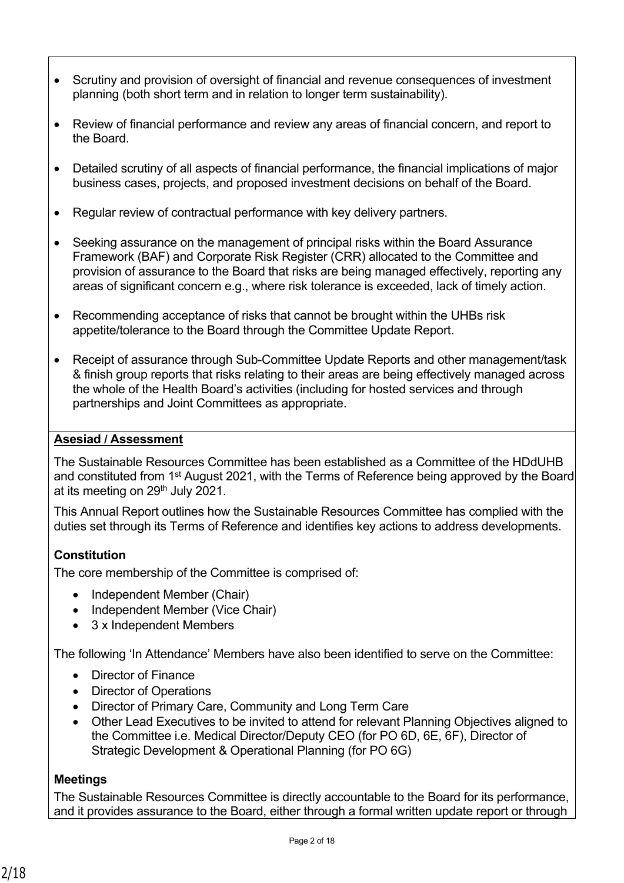- Scrutiny and provision of oversight of financial and revenue consequences of investment planning (both short term and in relation to longer term sustainability).
- Review of financial performance and review any areas of financial concern, and report to the Board.
- Detailed scrutiny of all aspects of financial performance, the financial implications of major business cases, projects, and proposed investment decisions on behalf of the Board.
- Regular review of contractual performance with key delivery partners.
- Seeking assurance on the management of principal risks within the Board Assurance Framework (BAF) and Corporate Risk Register (CRR) allocated to the Committee and provision of assurance to the Board that risks are being managed effectively, reporting any areas of significant concern e.g., where risk tolerance is exceeded, lack of timely action.
- Recommending acceptance of risks that cannot be brought within the UHBs risk appetite/tolerance to the Board through the Committee Update Report.
- Receipt of assurance through Sub-Committee Update Reports and other management/task & finish group reports that risks relating to their areas are being effectively managed across the whole of the Health Board's activities (including for hosted services and through partnerships and Joint Committees as appropriate.

#### **Asesiad / Assessment**

The Sustainable Resources Committee has been established as a Committee of the HDdUHB and constituted from 1<sup>st</sup> August 2021, with the Terms of Reference being approved by the Board at its meeting on 29<sup>th</sup> July 2021.

This Annual Report outlines how the Sustainable Resources Committee has complied with the duties set through its Terms of Reference and identifies key actions to address developments.

#### **Constitution**

The core membership of the Committee is comprised of:

- Independent Member (Chair)
- Independent Member (Vice Chair)
- 3 x Independent Members

The following 'In Attendance' Members have also been identified to serve on the Committee:

- Director of Finance
- Director of Operations
- Director of Primary Care, Community and Long Term Care
- Other Lead Executives to be invited to attend for relevant Planning Objectives aligned to the Committee i.e. Medical Director/Deputy CEO (for PO 6D, 6E, 6F), Director of Strategic Development & Operational Planning (for PO 6G)

#### **Meetings**

The Sustainable Resources Committee is directly accountable to the Board for its performance, and it provides assurance to the Board, either through a formal written update report or through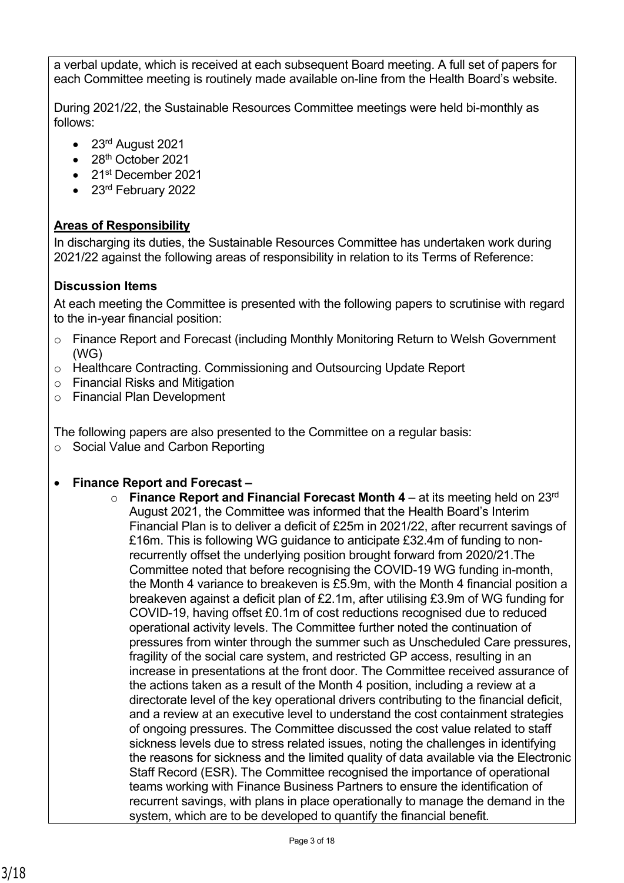a verbal update, which is received at each subsequent Board meeting. A full set of papers for each Committee meeting is routinely made available on-line from the Health Board's website.

During 2021/22, the Sustainable Resources Committee meetings were held bi-monthly as follows:

- 23<sup>rd</sup> August 2021
- 28th October 2021
- 21st December 2021
- 23rd February 2022

# **Areas of Responsibility**

In discharging its duties, the Sustainable Resources Committee has undertaken work during 2021/22 against the following areas of responsibility in relation to its Terms of Reference:

## **Discussion Items**

At each meeting the Committee is presented with the following papers to scrutinise with regard to the in-year financial position:

- o Finance Report and Forecast (including Monthly Monitoring Return to Welsh Government (WG)
- o Healthcare Contracting. Commissioning and Outsourcing Update Report
- o Financial Risks and Mitigation
- o Financial Plan Development

The following papers are also presented to the Committee on a regular basis:

o Social Value and Carbon Reporting

## • **Finance Report and Forecast –**

 $\circ$  **Finance Report and Financial Forecast Month 4** – at its meeting held on 23<sup>rd</sup> August 2021, the Committee was informed that the Health Board's Interim Financial Plan is to deliver a deficit of £25m in 2021/22, after recurrent savings of £16m. This is following WG guidance to anticipate £32.4m of funding to nonrecurrently offset the underlying position brought forward from 2020/21.The Committee noted that before recognising the COVID-19 WG funding in-month, the Month 4 variance to breakeven is £5.9m, with the Month 4 financial position a breakeven against a deficit plan of £2.1m, after utilising £3.9m of WG funding for COVID-19, having offset £0.1m of cost reductions recognised due to reduced operational activity levels. The Committee further noted the continuation of pressures from winter through the summer such as Unscheduled Care pressures, fragility of the social care system, and restricted GP access, resulting in an increase in presentations at the front door. The Committee received assurance of the actions taken as a result of the Month 4 position, including a review at a directorate level of the key operational drivers contributing to the financial deficit, and a review at an executive level to understand the cost containment strategies of ongoing pressures. The Committee discussed the cost value related to staff sickness levels due to stress related issues, noting the challenges in identifying the reasons for sickness and the limited quality of data available via the Electronic Staff Record (ESR). The Committee recognised the importance of operational teams working with Finance Business Partners to ensure the identification of recurrent savings, with plans in place operationally to manage the demand in the system, which are to be developed to quantify the financial benefit.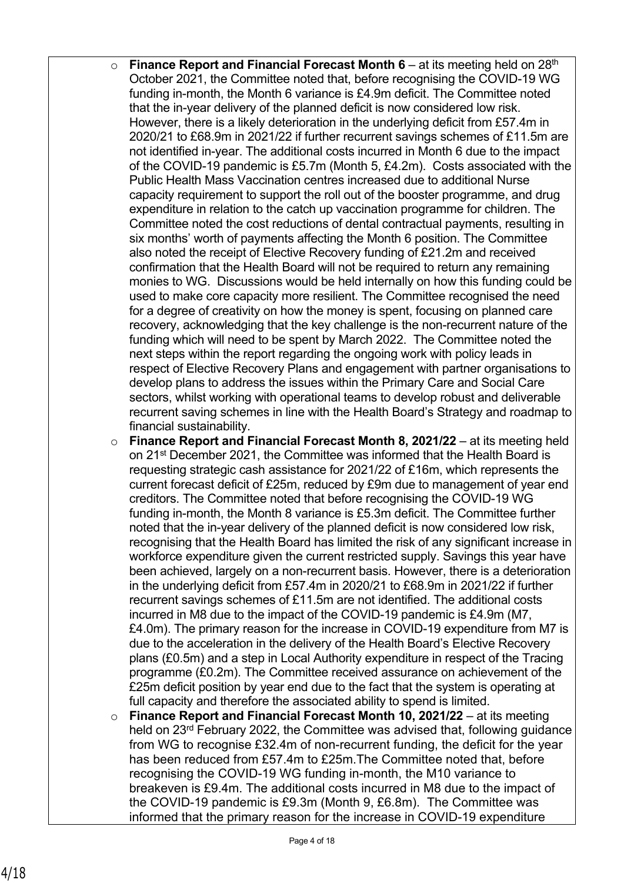- o **Finance Report and Financial Forecast Month 6** at its meeting held on 28th October 2021, the Committee noted that, before recognising the COVID-19 WG funding in-month, the Month 6 variance is £4.9m deficit. The Committee noted that the in-year delivery of the planned deficit is now considered low risk. However, there is a likely deterioration in the underlying deficit from £57.4m in 2020/21 to £68.9m in 2021/22 if further recurrent savings schemes of £11.5m are not identified in-year. The additional costs incurred in Month 6 due to the impact of the COVID-19 pandemic is £5.7m (Month 5, £4.2m). Costs associated with the Public Health Mass Vaccination centres increased due to additional Nurse capacity requirement to support the roll out of the booster programme, and drug expenditure in relation to the catch up vaccination programme for children. The Committee noted the cost reductions of dental contractual payments, resulting in six months' worth of payments affecting the Month 6 position. The Committee also noted the receipt of Elective Recovery funding of £21.2m and received confirmation that the Health Board will not be required to return any remaining monies to WG. Discussions would be held internally on how this funding could be used to make core capacity more resilient. The Committee recognised the need for a degree of creativity on how the money is spent, focusing on planned care recovery, acknowledging that the key challenge is the non-recurrent nature of the funding which will need to be spent by March 2022. The Committee noted the next steps within the report regarding the ongoing work with policy leads in respect of Elective Recovery Plans and engagement with partner organisations to develop plans to address the issues within the Primary Care and Social Care sectors, whilst working with operational teams to develop robust and deliverable recurrent saving schemes in line with the Health Board's Strategy and roadmap to financial sustainability.
- o **Finance Report and Financial Forecast Month 8, 2021/22** at its meeting held on 21<sup>st</sup> December 2021, the Committee was informed that the Health Board is requesting strategic cash assistance for 2021/22 of £16m, which represents the current forecast deficit of £25m, reduced by £9m due to management of year end creditors. The Committee noted that before recognising the COVID-19 WG funding in-month, the Month 8 variance is £5.3m deficit. The Committee further noted that the in-year delivery of the planned deficit is now considered low risk, recognising that the Health Board has limited the risk of any significant increase in workforce expenditure given the current restricted supply. Savings this year have been achieved, largely on a non-recurrent basis. However, there is a deterioration in the underlying deficit from £57.4m in 2020/21 to £68.9m in 2021/22 if further recurrent savings schemes of £11.5m are not identified. The additional costs incurred in M8 due to the impact of the COVID-19 pandemic is £4.9m (M7, £4.0m). The primary reason for the increase in COVID-19 expenditure from M7 is due to the acceleration in the delivery of the Health Board's Elective Recovery plans (£0.5m) and a step in Local Authority expenditure in respect of the Tracing programme (£0.2m). The Committee received assurance on achievement of the £25m deficit position by year end due to the fact that the system is operating at full capacity and therefore the associated ability to spend is limited.
- o **Finance Report and Financial Forecast Month 10, 2021/22** at its meeting held on 23rd February 2022, the Committee was advised that, following guidance from WG to recognise £32.4m of non-recurrent funding, the deficit for the year has been reduced from £57.4m to £25m.The Committee noted that, before recognising the COVID-19 WG funding in-month, the M10 variance to breakeven is £9.4m. The additional costs incurred in M8 due to the impact of the COVID-19 pandemic is £9.3m (Month 9, £6.8m). The Committee was informed that the primary reason for the increase in COVID-19 expenditure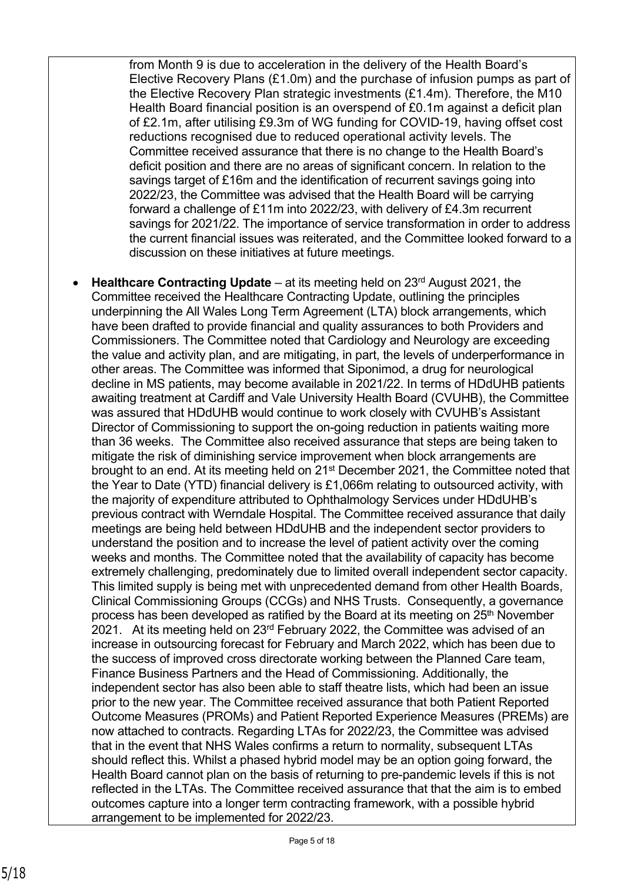from Month 9 is due to acceleration in the delivery of the Health Board's Elective Recovery Plans (£1.0m) and the purchase of infusion pumps as part of the Elective Recovery Plan strategic investments (£1.4m). Therefore, the M10 Health Board financial position is an overspend of £0.1m against a deficit plan of £2.1m, after utilising £9.3m of WG funding for COVID-19, having offset cost reductions recognised due to reduced operational activity levels. The Committee received assurance that there is no change to the Health Board's deficit position and there are no areas of significant concern. In relation to the savings target of £16m and the identification of recurrent savings going into 2022/23, the Committee was advised that the Health Board will be carrying forward a challenge of £11m into 2022/23, with delivery of £4.3m recurrent savings for 2021/22. The importance of service transformation in order to address the current financial issues was reiterated, and the Committee looked forward to a discussion on these initiatives at future meetings.

• **Healthcare Contracting Update** – at its meeting held on 23rd August 2021, the Committee received the Healthcare Contracting Update, outlining the principles underpinning the All Wales Long Term Agreement (LTA) block arrangements, which have been drafted to provide financial and quality assurances to both Providers and Commissioners. The Committee noted that Cardiology and Neurology are exceeding the value and activity plan, and are mitigating, in part, the levels of underperformance in other areas. The Committee was informed that Siponimod, a drug for neurological decline in MS patients, may become available in 2021/22. In terms of HDdUHB patients awaiting treatment at Cardiff and Vale University Health Board (CVUHB), the Committee was assured that HDdUHB would continue to work closely with CVUHB's Assistant Director of Commissioning to support the on-going reduction in patients waiting more than 36 weeks. The Committee also received assurance that steps are being taken to mitigate the risk of diminishing service improvement when block arrangements are brought to an end. At its meeting held on 21st December 2021, the Committee noted that the Year to Date (YTD) financial delivery is £1,066m relating to outsourced activity, with the majority of expenditure attributed to Ophthalmology Services under HDdUHB's previous contract with Werndale Hospital. The Committee received assurance that daily meetings are being held between HDdUHB and the independent sector providers to understand the position and to increase the level of patient activity over the coming weeks and months. The Committee noted that the availability of capacity has become extremely challenging, predominately due to limited overall independent sector capacity. This limited supply is being met with unprecedented demand from other Health Boards, Clinical Commissioning Groups (CCGs) and NHS Trusts. Consequently, a governance process has been developed as ratified by the Board at its meeting on  $25<sup>th</sup>$  November 2021. At its meeting held on  $23<sup>rd</sup>$  February 2022, the Committee was advised of an increase in outsourcing forecast for February and March 2022, which has been due to the success of improved cross directorate working between the Planned Care team, Finance Business Partners and the Head of Commissioning. Additionally, the independent sector has also been able to staff theatre lists, which had been an issue prior to the new year. The Committee received assurance that both Patient Reported Outcome Measures (PROMs) and Patient Reported Experience Measures (PREMs) are now attached to contracts. Regarding LTAs for 2022/23, the Committee was advised that in the event that NHS Wales confirms a return to normality, subsequent LTAs should reflect this. Whilst a phased hybrid model may be an option going forward, the Health Board cannot plan on the basis of returning to pre-pandemic levels if this is not reflected in the LTAs. The Committee received assurance that that the aim is to embed outcomes capture into a longer term contracting framework, with a possible hybrid arrangement to be implemented for 2022/23.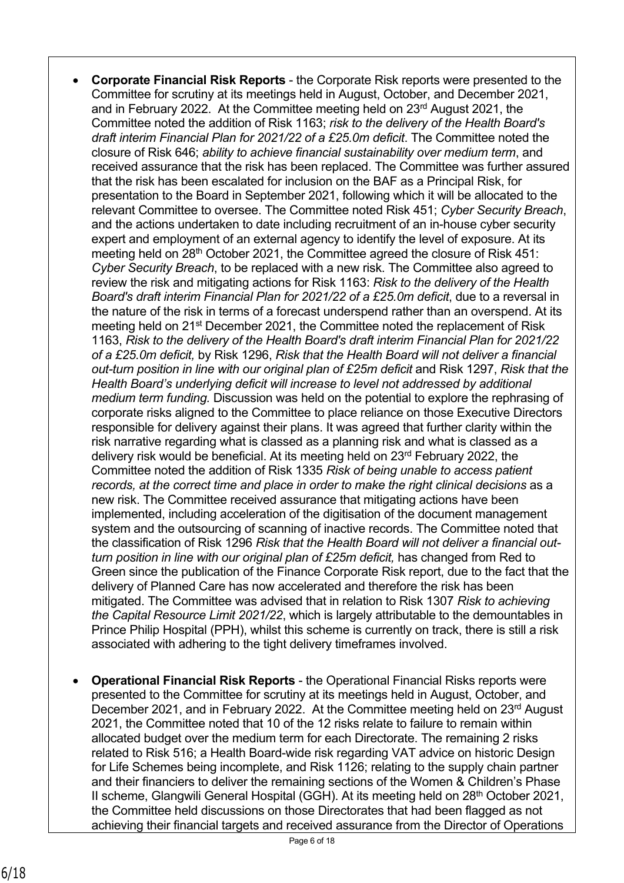- **Corporate Financial Risk Reports**  the Corporate Risk reports were presented to the Committee for scrutiny at its meetings held in August, October, and December 2021, and in February 2022. At the Committee meeting held on 23rd August 2021, the Committee noted the addition of Risk 1163; *risk to the delivery of the Health Board's draft interim Financial Plan for 2021/22 of a £25.0m deficit*. The Committee noted the closure of Risk 646; *ability to achieve financial sustainability over medium term*, and received assurance that the risk has been replaced. The Committee was further assured that the risk has been escalated for inclusion on the BAF as a Principal Risk, for presentation to the Board in September 2021, following which it will be allocated to the relevant Committee to oversee. The Committee noted Risk 451; *Cyber Security Breach*, and the actions undertaken to date including recruitment of an in-house cyber security expert and employment of an external agency to identify the level of exposure. At its meeting held on 28<sup>th</sup> October 2021, the Committee agreed the closure of Risk 451: *Cyber Security Breach*, to be replaced with a new risk. The Committee also agreed to review the risk and mitigating actions for Risk 1163: *Risk to the delivery of the Health Board's draft interim Financial Plan for 2021/22 of a £25.0m deficit*, due to a reversal in the nature of the risk in terms of a forecast underspend rather than an overspend. At its meeting held on 21st December 2021, the Committee noted the replacement of Risk 1163, *Risk to the delivery of the Health Board's draft interim Financial Plan for 2021/22 of a £25.0m deficit,* by Risk 1296, *Risk that the Health Board will not deliver a financial out-turn position in line with our original plan of £25m deficit* and Risk 1297, *Risk that the Health Board's underlying deficit will increase to level not addressed by additional medium term funding.* Discussion was held on the potential to explore the rephrasing of corporate risks aligned to the Committee to place reliance on those Executive Directors responsible for delivery against their plans. It was agreed that further clarity within the risk narrative regarding what is classed as a planning risk and what is classed as a delivery risk would be beneficial. At its meeting held on 23rd February 2022, the Committee noted the addition of Risk 1335 *Risk of being unable to access patient records, at the correct time and place in order to make the right clinical decisions* as a new risk. The Committee received assurance that mitigating actions have been implemented, including acceleration of the digitisation of the document management system and the outsourcing of scanning of inactive records. The Committee noted that the classification of Risk 1296 *Risk that the Health Board will not deliver a financial outturn position in line with our original plan of £25m deficit,* has changed from Red to Green since the publication of the Finance Corporate Risk report, due to the fact that the delivery of Planned Care has now accelerated and therefore the risk has been mitigated. The Committee was advised that in relation to Risk 1307 *Risk to achieving the Capital Resource Limit 2021/22*, which is largely attributable to the demountables in Prince Philip Hospital (PPH), whilst this scheme is currently on track, there is still a risk associated with adhering to the tight delivery timeframes involved.
- **Operational Financial Risk Reports**  the Operational Financial Risks reports were presented to the Committee for scrutiny at its meetings held in August, October, and December 2021, and in February 2022. At the Committee meeting held on 23<sup>rd</sup> August 2021, the Committee noted that 10 of the 12 risks relate to failure to remain within allocated budget over the medium term for each Directorate. The remaining 2 risks related to Risk 516; a Health Board-wide risk regarding VAT advice on historic Design for Life Schemes being incomplete, and Risk 1126; relating to the supply chain partner and their financiers to deliver the remaining sections of the Women & Children's Phase II scheme, Glangwili General Hospital (GGH). At its meeting held on  $28<sup>th</sup>$  October 2021, the Committee held discussions on those Directorates that had been flagged as not achieving their financial targets and received assurance from the Director of Operations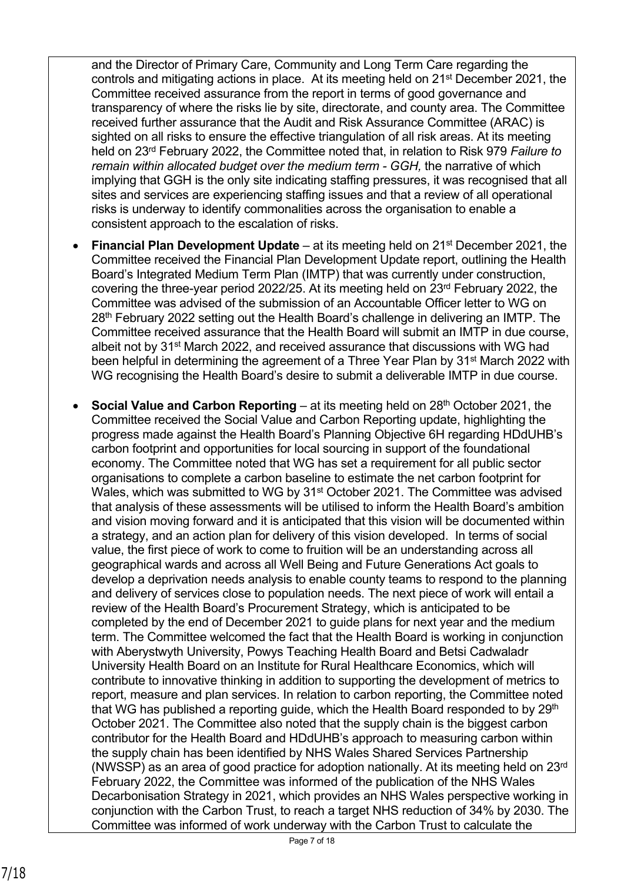and the Director of Primary Care, Community and Long Term Care regarding the controls and mitigating actions in place. At its meeting held on 21st December 2021, the Committee received assurance from the report in terms of good governance and transparency of where the risks lie by site, directorate, and county area. The Committee received further assurance that the Audit and Risk Assurance Committee (ARAC) is sighted on all risks to ensure the effective triangulation of all risk areas. At its meeting held on 23rd February 2022, the Committee noted that, in relation to Risk 979 *Failure to remain within allocated budget over the medium term - GGH,* the narrative of which implying that GGH is the only site indicating staffing pressures, it was recognised that all sites and services are experiencing staffing issues and that a review of all operational risks is underway to identify commonalities across the organisation to enable a consistent approach to the escalation of risks.

- **Financial Plan Development Update** at its meeting held on 21st December 2021, the Committee received the Financial Plan Development Update report, outlining the Health Board's Integrated Medium Term Plan (IMTP) that was currently under construction, covering the three-year period 2022/25. At its meeting held on 23rd February 2022, the Committee was advised of the submission of an Accountable Officer letter to WG on 28th February 2022 setting out the Health Board's challenge in delivering an IMTP. The Committee received assurance that the Health Board will submit an IMTP in due course, albeit not by 31<sup>st</sup> March 2022, and received assurance that discussions with WG had been helpful in determining the agreement of a Three Year Plan by 31<sup>st</sup> March 2022 with WG recognising the Health Board's desire to submit a deliverable IMTP in due course.
- **Social Value and Carbon Reporting** at its meeting held on 28<sup>th</sup> October 2021. the Committee received the Social Value and Carbon Reporting update, highlighting the progress made against the Health Board's Planning Objective 6H regarding HDdUHB's carbon footprint and opportunities for local sourcing in support of the foundational economy. The Committee noted that WG has set a requirement for all public sector organisations to complete a carbon baseline to estimate the net carbon footprint for Wales, which was submitted to WG by 31<sup>st</sup> October 2021. The Committee was advised that analysis of these assessments will be utilised to inform the Health Board's ambition and vision moving forward and it is anticipated that this vision will be documented within a strategy, and an action plan for delivery of this vision developed. In terms of social value, the first piece of work to come to fruition will be an understanding across all geographical wards and across all Well Being and Future Generations Act goals to develop a deprivation needs analysis to enable county teams to respond to the planning and delivery of services close to population needs. The next piece of work will entail a review of the Health Board's Procurement Strategy, which is anticipated to be completed by the end of December 2021 to guide plans for next year and the medium term. The Committee welcomed the fact that the Health Board is working in conjunction with Aberystwyth University, Powys Teaching Health Board and Betsi Cadwaladr University Health Board on an Institute for Rural Healthcare Economics, which will contribute to innovative thinking in addition to supporting the development of metrics to report, measure and plan services. In relation to carbon reporting, the Committee noted that WG has published a reporting guide, which the Health Board responded to by  $29<sup>th</sup>$ October 2021. The Committee also noted that the supply chain is the biggest carbon contributor for the Health Board and HDdUHB's approach to measuring carbon within the supply chain has been identified by NHS Wales Shared Services Partnership (NWSSP) as an area of good practice for adoption nationally. At its meeting held on 23rd February 2022, the Committee was informed of the publication of the NHS Wales Decarbonisation Strategy in 2021, which provides an NHS Wales perspective working in conjunction with the Carbon Trust, to reach a target NHS reduction of 34% by 2030. The Committee was informed of work underway with the Carbon Trust to calculate the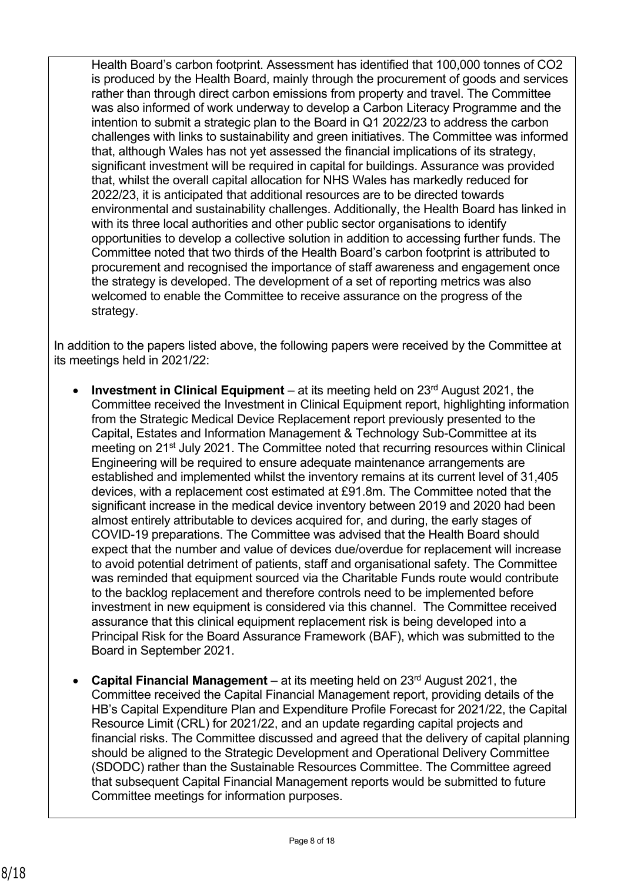Health Board's carbon footprint. Assessment has identified that 100,000 tonnes of CO2 is produced by the Health Board, mainly through the procurement of goods and services rather than through direct carbon emissions from property and travel. The Committee was also informed of work underway to develop a Carbon Literacy Programme and the intention to submit a strategic plan to the Board in Q1 2022/23 to address the carbon challenges with links to sustainability and green initiatives. The Committee was informed that, although Wales has not yet assessed the financial implications of its strategy, significant investment will be required in capital for buildings. Assurance was provided that, whilst the overall capital allocation for NHS Wales has markedly reduced for 2022/23, it is anticipated that additional resources are to be directed towards environmental and sustainability challenges. Additionally, the Health Board has linked in with its three local authorities and other public sector organisations to identify opportunities to develop a collective solution in addition to accessing further funds. The Committee noted that two thirds of the Health Board's carbon footprint is attributed to procurement and recognised the importance of staff awareness and engagement once the strategy is developed. The development of a set of reporting metrics was also welcomed to enable the Committee to receive assurance on the progress of the strategy.

In addition to the papers listed above, the following papers were received by the Committee at its meetings held in 2021/22:

- **Investment in Clinical Equipment** at its meeting held on 23rd August 2021, the Committee received the Investment in Clinical Equipment report, highlighting information from the Strategic Medical Device Replacement report previously presented to the Capital, Estates and Information Management & Technology Sub-Committee at its meeting on 21<sup>st</sup> July 2021. The Committee noted that recurring resources within Clinical Engineering will be required to ensure adequate maintenance arrangements are established and implemented whilst the inventory remains at its current level of 31,405 devices, with a replacement cost estimated at £91.8m. The Committee noted that the significant increase in the medical device inventory between 2019 and 2020 had been almost entirely attributable to devices acquired for, and during, the early stages of COVID-19 preparations. The Committee was advised that the Health Board should expect that the number and value of devices due/overdue for replacement will increase to avoid potential detriment of patients, staff and organisational safety. The Committee was reminded that equipment sourced via the Charitable Funds route would contribute to the backlog replacement and therefore controls need to be implemented before investment in new equipment is considered via this channel. The Committee received assurance that this clinical equipment replacement risk is being developed into a Principal Risk for the Board Assurance Framework (BAF), which was submitted to the Board in September 2021.
- **Capital Financial Management**  at its meeting held on 23rd August 2021, the Committee received the Capital Financial Management report, providing details of the HB's Capital Expenditure Plan and Expenditure Profile Forecast for 2021/22, the Capital Resource Limit (CRL) for 2021/22, and an update regarding capital projects and financial risks. The Committee discussed and agreed that the delivery of capital planning should be aligned to the Strategic Development and Operational Delivery Committee (SDODC) rather than the Sustainable Resources Committee. The Committee agreed that subsequent Capital Financial Management reports would be submitted to future Committee meetings for information purposes.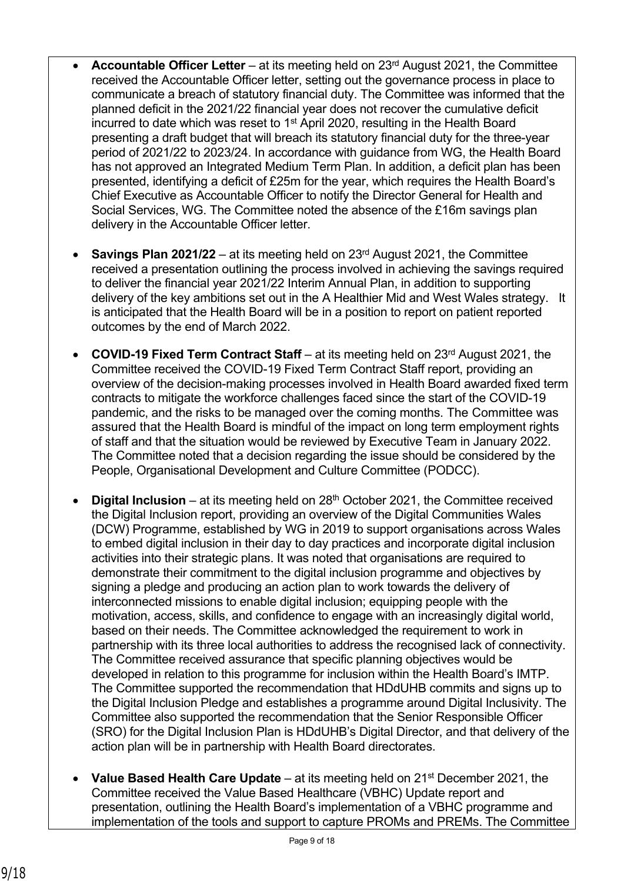- **Accountable Officer Letter** at its meeting held on 23rd August 2021, the Committee received the Accountable Officer letter, setting out the governance process in place to communicate a breach of statutory financial duty. The Committee was informed that the planned deficit in the 2021/22 financial year does not recover the cumulative deficit incurred to date which was reset to 1st April 2020, resulting in the Health Board presenting a draft budget that will breach its statutory financial duty for the three-year period of 2021/22 to 2023/24. In accordance with guidance from WG, the Health Board has not approved an Integrated Medium Term Plan. In addition, a deficit plan has been presented, identifying a deficit of £25m for the year, which requires the Health Board's Chief Executive as Accountable Officer to notify the Director General for Health and Social Services, WG. The Committee noted the absence of the £16m savings plan delivery in the Accountable Officer letter.
- **Savings Plan 2021/22** at its meeting held on 23rd August 2021, the Committee received a presentation outlining the process involved in achieving the savings required to deliver the financial year 2021/22 Interim Annual Plan, in addition to supporting delivery of the key ambitions set out in the A Healthier Mid and West Wales strategy. It is anticipated that the Health Board will be in a position to report on patient reported outcomes by the end of March 2022.
- **COVID-19 Fixed Term Contract Staff** at its meeting held on 23<sup>rd</sup> August 2021, the Committee received the COVID-19 Fixed Term Contract Staff report, providing an overview of the decision-making processes involved in Health Board awarded fixed term contracts to mitigate the workforce challenges faced since the start of the COVID-19 pandemic, and the risks to be managed over the coming months. The Committee was assured that the Health Board is mindful of the impact on long term employment rights of staff and that the situation would be reviewed by Executive Team in January 2022. The Committee noted that a decision regarding the issue should be considered by the People, Organisational Development and Culture Committee (PODCC).
- **Digital Inclusion** at its meeting held on 28<sup>th</sup> October 2021, the Committee received the Digital Inclusion report, providing an overview of the Digital Communities Wales (DCW) Programme, established by WG in 2019 to support organisations across Wales to embed digital inclusion in their day to day practices and incorporate digital inclusion activities into their strategic plans. It was noted that organisations are required to demonstrate their commitment to the digital inclusion programme and objectives by signing a pledge and producing an action plan to work towards the delivery of interconnected missions to enable digital inclusion; equipping people with the motivation, access, skills, and confidence to engage with an increasingly digital world, based on their needs. The Committee acknowledged the requirement to work in partnership with its three local authorities to address the recognised lack of connectivity. The Committee received assurance that specific planning objectives would be developed in relation to this programme for inclusion within the Health Board's IMTP. The Committee supported the recommendation that HDdUHB commits and signs up to the Digital Inclusion Pledge and establishes a programme around Digital Inclusivity. The Committee also supported the recommendation that the Senior Responsible Officer (SRO) for the Digital Inclusion Plan is HDdUHB's Digital Director, and that delivery of the action plan will be in partnership with Health Board directorates.
- **Value Based Health Care Update**  at its meeting held on 21st December 2021, the Committee received the Value Based Healthcare (VBHC) Update report and presentation, outlining the Health Board's implementation of a VBHC programme and implementation of the tools and support to capture PROMs and PREMs. The Committee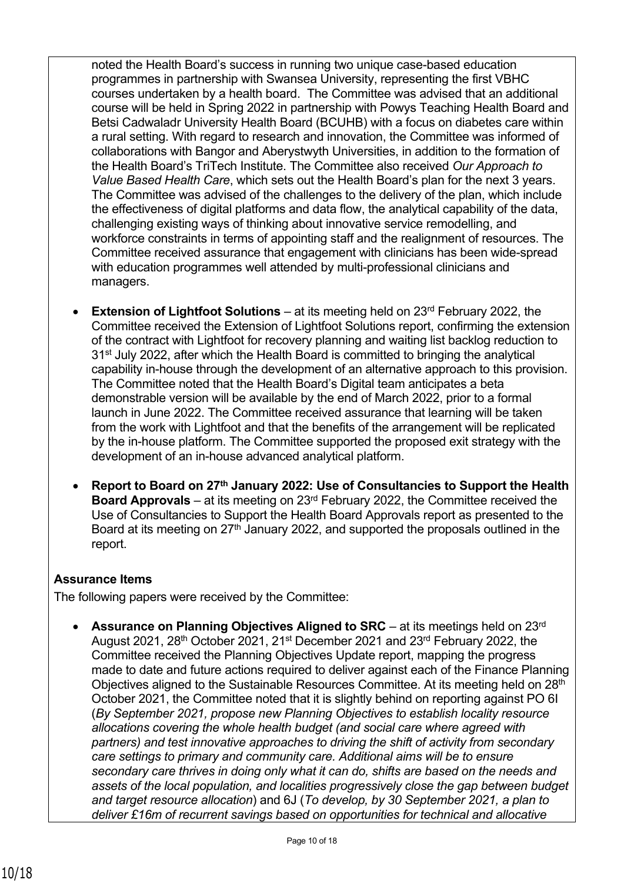noted the Health Board's success in running two unique case-based education programmes in partnership with Swansea University, representing the first VBHC courses undertaken by a health board. The Committee was advised that an additional course will be held in Spring 2022 in partnership with Powys Teaching Health Board and Betsi Cadwaladr University Health Board (BCUHB) with a focus on diabetes care within a rural setting. With regard to research and innovation, the Committee was informed of collaborations with Bangor and Aberystwyth Universities, in addition to the formation of the Health Board's TriTech Institute. The Committee also received *Our Approach to Value Based Health Care*, which sets out the Health Board's plan for the next 3 years. The Committee was advised of the challenges to the delivery of the plan, which include the effectiveness of digital platforms and data flow, the analytical capability of the data, challenging existing ways of thinking about innovative service remodelling, and workforce constraints in terms of appointing staff and the realignment of resources. The Committee received assurance that engagement with clinicians has been wide-spread with education programmes well attended by multi-professional clinicians and managers.

- **Extension of Lightfoot Solutions** at its meeting held on 23<sup>rd</sup> February 2022, the Committee received the Extension of Lightfoot Solutions report, confirming the extension of the contract with Lightfoot for recovery planning and waiting list backlog reduction to 31<sup>st</sup> July 2022, after which the Health Board is committed to bringing the analytical capability in-house through the development of an alternative approach to this provision. The Committee noted that the Health Board's Digital team anticipates a beta demonstrable version will be available by the end of March 2022, prior to a formal launch in June 2022. The Committee received assurance that learning will be taken from the work with Lightfoot and that the benefits of the arrangement will be replicated by the in-house platform. The Committee supported the proposed exit strategy with the development of an in-house advanced analytical platform.
- **Report to Board on 27th January 2022: Use of Consultancies to Support the Health Board Approvals** – at its meeting on 23rd February 2022, the Committee received the Use of Consultancies to Support the Health Board Approvals report as presented to the Board at its meeting on 27<sup>th</sup> January 2022, and supported the proposals outlined in the report.

## **Assurance Items**

The following papers were received by the Committee:

• **Assurance on Planning Objectives Aligned to SRC** – at its meetings held on 23rd August 2021, 28th October 2021, 21st December 2021 and 23rd February 2022, the Committee received the Planning Objectives Update report, mapping the progress made to date and future actions required to deliver against each of the Finance Planning Objectives aligned to the Sustainable Resources Committee. At its meeting held on 28<sup>th</sup> October 2021, the Committee noted that it is slightly behind on reporting against PO 6I (*By September 2021, propose new Planning Objectives to establish locality resource allocations covering the whole health budget (and social care where agreed with partners) and test innovative approaches to driving the shift of activity from secondary care settings to primary and community care. Additional aims will be to ensure secondary care thrives in doing only what it can do, shifts are based on the needs and assets of the local population, and localities progressively close the gap between budget and target resource allocation*) and 6J (*To develop, by 30 September 2021, a plan to deliver £16m of recurrent savings based on opportunities for technical and allocative*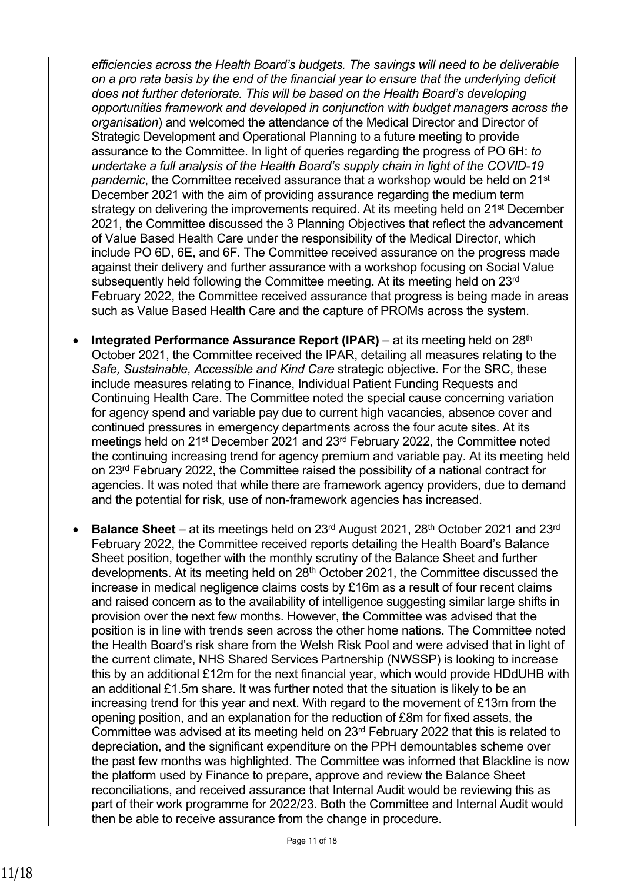*efficiencies across the Health Board's budgets. The savings will need to be deliverable on a pro rata basis by the end of the financial year to ensure that the underlying deficit does not further deteriorate. This will be based on the Health Board's developing opportunities framework and developed in conjunction with budget managers across the organisation*) and welcomed the attendance of the Medical Director and Director of Strategic Development and Operational Planning to a future meeting to provide assurance to the Committee. In light of queries regarding the progress of PO 6H: *to undertake a full analysis of the Health Board's supply chain in light of the COVID-19 pandemic*, the Committee received assurance that a workshop would be held on 21st December 2021 with the aim of providing assurance regarding the medium term strategy on delivering the improvements required. At its meeting held on 21st December 2021, the Committee discussed the 3 Planning Objectives that reflect the advancement of Value Based Health Care under the responsibility of the Medical Director, which include PO 6D, 6E, and 6F*.* The Committee received assurance on the progress made against their delivery and further assurance with a workshop focusing on Social Value subsequently held following the Committee meeting. At its meeting held on 23rd February 2022, the Committee received assurance that progress is being made in areas such as Value Based Health Care and the capture of PROMs across the system.

- **Integrated Performance Assurance Report (IPAR)** at its meeting held on 28<sup>th</sup> October 2021, the Committee received the IPAR, detailing all measures relating to the *Safe, Sustainable, Accessible and Kind Care* strategic objective. For the SRC, these include measures relating to Finance, Individual Patient Funding Requests and Continuing Health Care. The Committee noted the special cause concerning variation for agency spend and variable pay due to current high vacancies, absence cover and continued pressures in emergency departments across the four acute sites. At its meetings held on 21st December 2021 and 23rd February 2022, the Committee noted the continuing increasing trend for agency premium and variable pay. At its meeting held on 23rd February 2022, the Committee raised the possibility of a national contract for agencies. It was noted that while there are framework agency providers, due to demand and the potential for risk, use of non-framework agencies has increased.
- **Balance Sheet** at its meetings held on 23rd August 2021, 28th October 2021 and 23rd February 2022, the Committee received reports detailing the Health Board's Balance Sheet position, together with the monthly scrutiny of the Balance Sheet and further developments. At its meeting held on 28th October 2021, the Committee discussed the increase in medical negligence claims costs by £16m as a result of four recent claims and raised concern as to the availability of intelligence suggesting similar large shifts in provision over the next few months. However, the Committee was advised that the position is in line with trends seen across the other home nations. The Committee noted the Health Board's risk share from the Welsh Risk Pool and were advised that in light of the current climate, NHS Shared Services Partnership (NWSSP) is looking to increase this by an additional £12m for the next financial year, which would provide HDdUHB with an additional £1.5m share. It was further noted that the situation is likely to be an increasing trend for this year and next. With regard to the movement of £13m from the opening position, and an explanation for the reduction of £8m for fixed assets, the Committee was advised at its meeting held on 23rd February 2022 that this is related to depreciation, and the significant expenditure on the PPH demountables scheme over the past few months was highlighted. The Committee was informed that Blackline is now the platform used by Finance to prepare, approve and review the Balance Sheet reconciliations, and received assurance that Internal Audit would be reviewing this as part of their work programme for 2022/23. Both the Committee and Internal Audit would then be able to receive assurance from the change in procedure.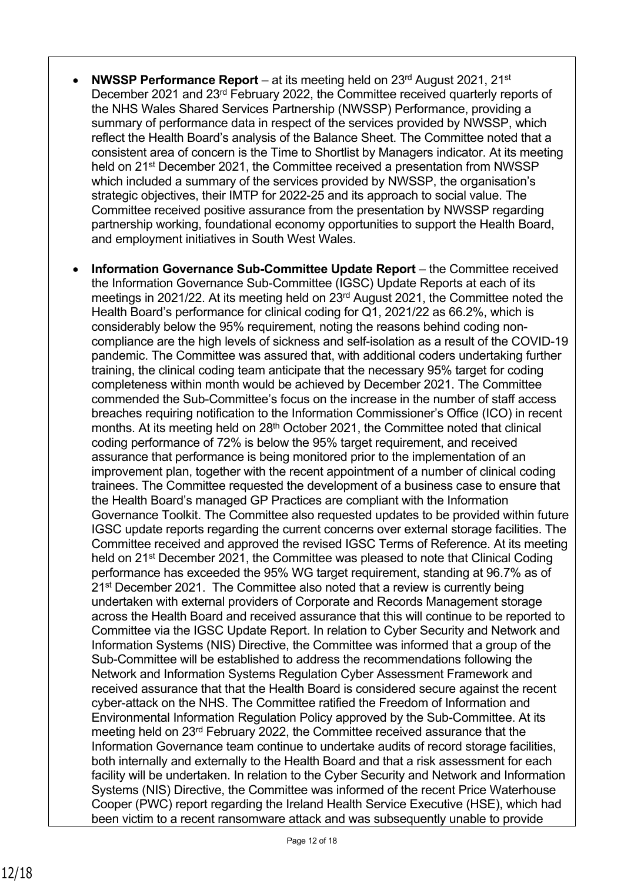- **NWSSP Performance Report**  at its meeting held on 23rd August 2021, 21st December 2021 and 23rd February 2022, the Committee received quarterly reports of the NHS Wales Shared Services Partnership (NWSSP) Performance, providing a summary of performance data in respect of the services provided by NWSSP, which reflect the Health Board's analysis of the Balance Sheet. The Committee noted that a consistent area of concern is the Time to Shortlist by Managers indicator. At its meeting held on 21<sup>st</sup> December 2021, the Committee received a presentation from NWSSP which included a summary of the services provided by NWSSP, the organisation's strategic objectives, their IMTP for 2022-25 and its approach to social value. The Committee received positive assurance from the presentation by NWSSP regarding partnership working, foundational economy opportunities to support the Health Board, and employment initiatives in South West Wales.
- **Information Governance Sub-Committee Update Report** the Committee received the Information Governance Sub-Committee (IGSC) Update Reports at each of its meetings in 2021/22. At its meeting held on 23rd August 2021, the Committee noted the Health Board's performance for clinical coding for Q1, 2021/22 as 66.2%, which is considerably below the 95% requirement, noting the reasons behind coding noncompliance are the high levels of sickness and self-isolation as a result of the COVID-19 pandemic. The Committee was assured that, with additional coders undertaking further training, the clinical coding team anticipate that the necessary 95% target for coding completeness within month would be achieved by December 2021. The Committee commended the Sub-Committee's focus on the increase in the number of staff access breaches requiring notification to the Information Commissioner's Office (ICO) in recent months. At its meeting held on 28<sup>th</sup> October 2021, the Committee noted that clinical coding performance of 72% is below the 95% target requirement, and received assurance that performance is being monitored prior to the implementation of an improvement plan, together with the recent appointment of a number of clinical coding trainees. The Committee requested the development of a business case to ensure that the Health Board's managed GP Practices are compliant with the Information Governance Toolkit. The Committee also requested updates to be provided within future IGSC update reports regarding the current concerns over external storage facilities. The Committee received and approved the revised IGSC Terms of Reference. At its meeting held on 21st December 2021, the Committee was pleased to note that Clinical Coding performance has exceeded the 95% WG target requirement, standing at 96.7% as of 21<sup>st</sup> December 2021. The Committee also noted that a review is currently being undertaken with external providers of Corporate and Records Management storage across the Health Board and received assurance that this will continue to be reported to Committee via the IGSC Update Report. In relation to Cyber Security and Network and Information Systems (NIS) Directive, the Committee was informed that a group of the Sub-Committee will be established to address the recommendations following the Network and Information Systems Regulation Cyber Assessment Framework and received assurance that that the Health Board is considered secure against the recent cyber-attack on the NHS. The Committee ratified the Freedom of Information and Environmental Information Regulation Policy approved by the Sub-Committee. At its meeting held on 23rd February 2022, the Committee received assurance that the Information Governance team continue to undertake audits of record storage facilities, both internally and externally to the Health Board and that a risk assessment for each facility will be undertaken. In relation to the Cyber Security and Network and Information Systems (NIS) Directive, the Committee was informed of the recent Price Waterhouse Cooper (PWC) report regarding the Ireland Health Service Executive (HSE), which had been victim to a recent ransomware attack and was subsequently unable to provide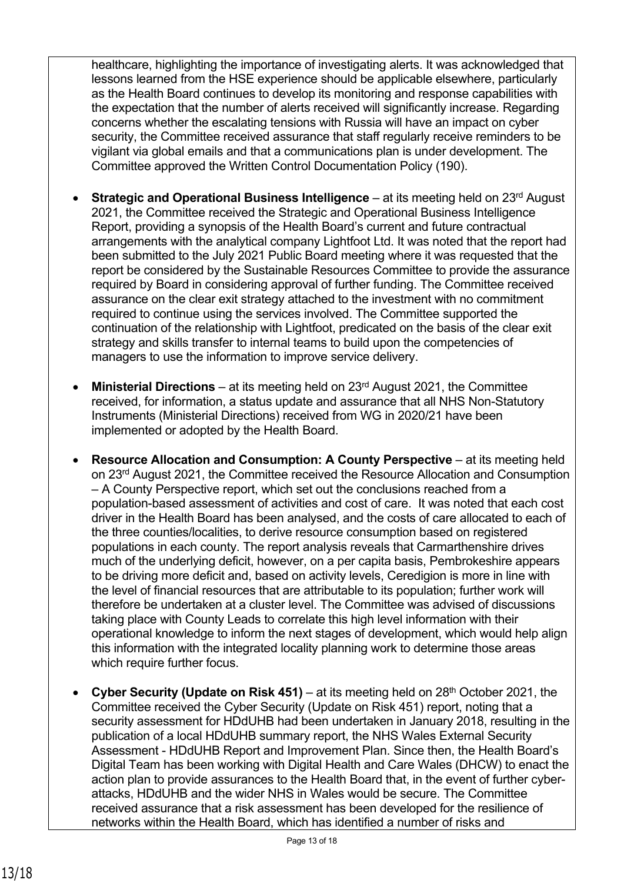healthcare, highlighting the importance of investigating alerts. It was acknowledged that lessons learned from the HSE experience should be applicable elsewhere, particularly as the Health Board continues to develop its monitoring and response capabilities with the expectation that the number of alerts received will significantly increase. Regarding concerns whether the escalating tensions with Russia will have an impact on cyber security, the Committee received assurance that staff regularly receive reminders to be vigilant via global emails and that a communications plan is under development. The Committee approved the Written Control Documentation Policy (190).

- **Strategic and Operational Business Intelligence** at its meeting held on 23<sup>rd</sup> August 2021, the Committee received the Strategic and Operational Business Intelligence Report, providing a synopsis of the Health Board's current and future contractual arrangements with the analytical company Lightfoot Ltd. It was noted that the report had been submitted to the July 2021 Public Board meeting where it was requested that the report be considered by the Sustainable Resources Committee to provide the assurance required by Board in considering approval of further funding. The Committee received assurance on the clear exit strategy attached to the investment with no commitment required to continue using the services involved. The Committee supported the continuation of the relationship with Lightfoot, predicated on the basis of the clear exit strategy and skills transfer to internal teams to build upon the competencies of managers to use the information to improve service delivery.
- **Ministerial Directions** at its meeting held on 23rd August 2021, the Committee received, for information, a status update and assurance that all NHS Non-Statutory Instruments (Ministerial Directions) received from WG in 2020/21 have been implemented or adopted by the Health Board.
- **Resource Allocation and Consumption: A County Perspective** at its meeting held on 23rd August 2021, the Committee received the Resource Allocation and Consumption – A County Perspective report, which set out the conclusions reached from a population-based assessment of activities and cost of care. It was noted that each cost driver in the Health Board has been analysed, and the costs of care allocated to each of the three counties/localities, to derive resource consumption based on registered populations in each county. The report analysis reveals that Carmarthenshire drives much of the underlying deficit, however, on a per capita basis, Pembrokeshire appears to be driving more deficit and, based on activity levels, Ceredigion is more in line with the level of financial resources that are attributable to its population; further work will therefore be undertaken at a cluster level. The Committee was advised of discussions taking place with County Leads to correlate this high level information with their operational knowledge to inform the next stages of development, which would help align this information with the integrated locality planning work to determine those areas which require further focus.
- **Cyber Security (Update on Risk 451)** at its meeting held on 28<sup>th</sup> October 2021, the Committee received the Cyber Security (Update on Risk 451) report, noting that a security assessment for HDdUHB had been undertaken in January 2018, resulting in the publication of a local HDdUHB summary report, the NHS Wales External Security Assessment - HDdUHB Report and Improvement Plan. Since then, the Health Board's Digital Team has been working with Digital Health and Care Wales (DHCW) to enact the action plan to provide assurances to the Health Board that, in the event of further cyberattacks, HDdUHB and the wider NHS in Wales would be secure. The Committee received assurance that a risk assessment has been developed for the resilience of networks within the Health Board, which has identified a number of risks and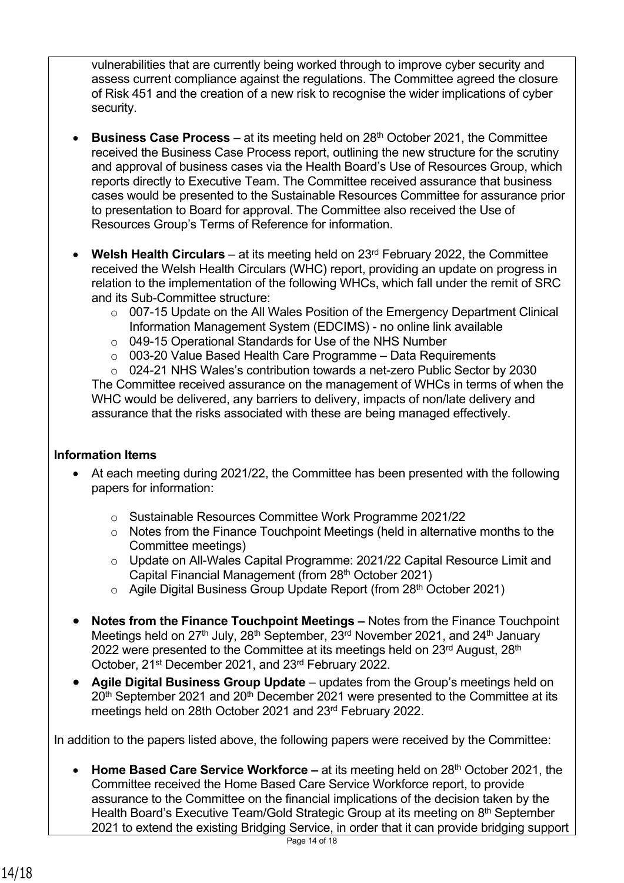vulnerabilities that are currently being worked through to improve cyber security and assess current compliance against the regulations. The Committee agreed the closure of Risk 451 and the creation of a new risk to recognise the wider implications of cyber security.

- **Business Case Process** at its meeting held on 28<sup>th</sup> October 2021, the Committee received the Business Case Process report, outlining the new structure for the scrutiny and approval of business cases via the Health Board's Use of Resources Group, which reports directly to Executive Team. The Committee received assurance that business cases would be presented to the Sustainable Resources Committee for assurance prior to presentation to Board for approval. The Committee also received the Use of Resources Group's Terms of Reference for information.
- **Welsh Health Circulars** at its meeting held on 23rd February 2022, the Committee received the Welsh Health Circulars (WHC) report, providing an update on progress in relation to the implementation of the following WHCs, which fall under the remit of SRC and its Sub-Committee structure:
	- o 007-15 Update on the All Wales Position of the Emergency Department Clinical Information Management System (EDCIMS) - no online link available
	- o 049-15 Operational Standards for Use of the NHS Number
	- o 003-20 Value Based Health Care Programme Data Requirements

o 024-21 NHS Wales's contribution towards a net-zero Public Sector by 2030 The Committee received assurance on the management of WHCs in terms of when the WHC would be delivered, any barriers to delivery, impacts of non/late delivery and assurance that the risks associated with these are being managed effectively.

### **Information Items**

- At each meeting during 2021/22, the Committee has been presented with the following papers for information:
	- o Sustainable Resources Committee Work Programme 2021/22
	- o Notes from the Finance Touchpoint Meetings (held in alternative months to the Committee meetings)
	- o Update on All-Wales Capital Programme: 2021/22 Capital Resource Limit and Capital Financial Management (from 28th October 2021)
	- o Agile Digital Business Group Update Report (from 28th October 2021)
- **Notes from the Finance Touchpoint Meetings** Notes from the Finance Touchpoint Meetings held on  $27<sup>th</sup>$  July,  $28<sup>th</sup>$  September,  $23<sup>rd</sup>$  November 2021, and  $24<sup>th</sup>$  January 2022 were presented to the Committee at its meetings held on 23<sup>rd</sup> August, 28<sup>th</sup> October, 21st December 2021, and 23rd February 2022.
- **Agile Digital Business Group Update**  updates from the Group's meetings held on 20<sup>th</sup> September 2021 and 20<sup>th</sup> December 2021 were presented to the Committee at its meetings held on 28th October 2021 and 23rd February 2022.

In addition to the papers listed above, the following papers were received by the Committee:

• **Home Based Care Service Workforce –** at its meeting held on 28<sup>th</sup> October 2021, the Committee received the Home Based Care Service Workforce report, to provide assurance to the Committee on the financial implications of the decision taken by the Health Board's Executive Team/Gold Strategic Group at its meeting on 8<sup>th</sup> September 2021 to extend the existing Bridging Service, in order that it can provide bridging support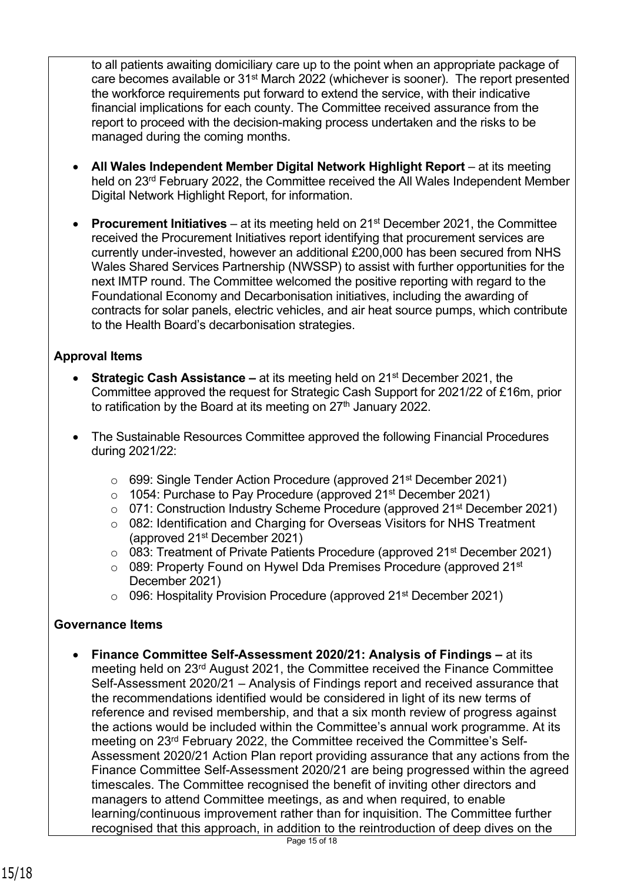to all patients awaiting domiciliary care up to the point when an appropriate package of care becomes available or 31st March 2022 (whichever is sooner). The report presented the workforce requirements put forward to extend the service, with their indicative financial implications for each county. The Committee received assurance from the report to proceed with the decision-making process undertaken and the risks to be managed during the coming months.

- **All Wales Independent Member Digital Network Highlight Report** at its meeting held on 23rd February 2022, the Committee received the All Wales Independent Member Digital Network Highlight Report, for information.
- **Procurement Initiatives** at its meeting held on 21st December 2021, the Committee received the Procurement Initiatives report identifying that procurement services are currently under-invested, however an additional £200,000 has been secured from NHS Wales Shared Services Partnership (NWSSP) to assist with further opportunities for the next IMTP round. The Committee welcomed the positive reporting with regard to the Foundational Economy and Decarbonisation initiatives, including the awarding of contracts for solar panels, electric vehicles, and air heat source pumps, which contribute to the Health Board's decarbonisation strategies.

### **Approval Items**

- **Strategic Cash Assistance** at its meeting held on 21st December 2021, the Committee approved the request for Strategic Cash Support for 2021/22 of £16m, prior to ratification by the Board at its meeting on  $27<sup>th</sup>$  January 2022.
- The Sustainable Resources Committee approved the following Financial Procedures during 2021/22:
	- o 699: Single Tender Action Procedure (approved 21st December 2021)
	- o 1054: Purchase to Pay Procedure (approved 21<sup>st</sup> December 2021)
	- o 071: Construction Industry Scheme Procedure (approved 21st December 2021)
	- o 082: Identification and Charging for Overseas Visitors for NHS Treatment (approved 21st December 2021)
	- $\circ$  083: Treatment of Private Patients Procedure (approved 21<sup>st</sup> December 2021)
	- $\circ$  089: Property Found on Hywel Dda Premises Procedure (approved 21st) December 2021)
	- o 096: Hospitality Provision Procedure (approved 21st December 2021)

### **Governance Items**

• **Finance Committee Self-Assessment 2020/21: Analysis of Findings –** at its meeting held on 23rd August 2021, the Committee received the Finance Committee Self-Assessment 2020/21 – Analysis of Findings report and received assurance that the recommendations identified would be considered in light of its new terms of reference and revised membership, and that a six month review of progress against the actions would be included within the Committee's annual work programme. At its meeting on 23rd February 2022, the Committee received the Committee's Self-Assessment 2020/21 Action Plan report providing assurance that any actions from the Finance Committee Self-Assessment 2020/21 are being progressed within the agreed timescales. The Committee recognised the benefit of inviting other directors and managers to attend Committee meetings, as and when required, to enable learning/continuous improvement rather than for inquisition. The Committee further recognised that this approach, in addition to the reintroduction of deep dives on the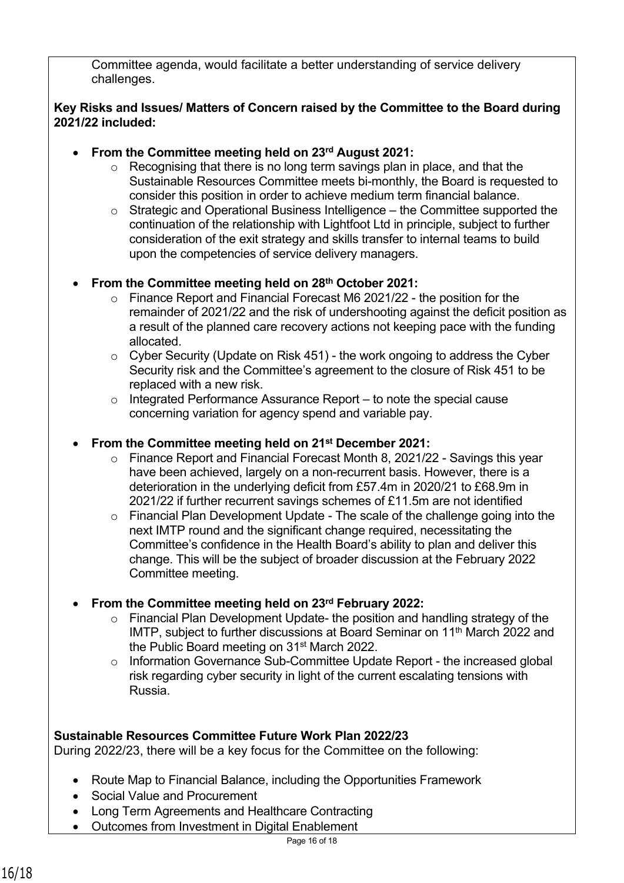Committee agenda, would facilitate a better understanding of service delivery challenges.

### **Key Risks and Issues/ Matters of Concern raised by the Committee to the Board during 2021/22 included:**

- **From the Committee meeting held on 23rd August 2021:**
	- o Recognising that there is no long term savings plan in place, and that the Sustainable Resources Committee meets bi-monthly, the Board is requested to consider this position in order to achieve medium term financial balance.
	- o Strategic and Operational Business Intelligence the Committee supported the continuation of the relationship with Lightfoot Ltd in principle, subject to further consideration of the exit strategy and skills transfer to internal teams to build upon the competencies of service delivery managers.

## • **From the Committee meeting held on 28th October 2021:**

- o Finance Report and Financial Forecast M6 2021/22 the position for the remainder of 2021/22 and the risk of undershooting against the deficit position as a result of the planned care recovery actions not keeping pace with the funding allocated.
- $\circ$  Cyber Security (Update on Risk 451) the work ongoing to address the Cyber Security risk and the Committee's agreement to the closure of Risk 451 to be replaced with a new risk.
- $\circ$  Integrated Performance Assurance Report to note the special cause concerning variation for agency spend and variable pay.

### • **From the Committee meeting held on 21st December 2021:**

- o Finance Report and Financial Forecast Month 8, 2021/22 Savings this year have been achieved, largely on a non-recurrent basis. However, there is a deterioration in the underlying deficit from £57.4m in 2020/21 to £68.9m in 2021/22 if further recurrent savings schemes of £11.5m are not identified
- o Financial Plan Development Update The scale of the challenge going into the next IMTP round and the significant change required, necessitating the Committee's confidence in the Health Board's ability to plan and deliver this change. This will be the subject of broader discussion at the February 2022 Committee meeting.
- **From the Committee meeting held on 23rd February 2022:** 
	- o Financial Plan Development Update- the position and handling strategy of the IMTP, subject to further discussions at Board Seminar on 11<sup>th</sup> March 2022 and the Public Board meeting on 31st March 2022.
	- o Information Governance Sub-Committee Update Report the increased global risk regarding cyber security in light of the current escalating tensions with Russia.

## **Sustainable Resources Committee Future Work Plan 2022/23**

During 2022/23, there will be a key focus for the Committee on the following:

- Route Map to Financial Balance, including the Opportunities Framework
- Social Value and Procurement
- Long Term Agreements and Healthcare Contracting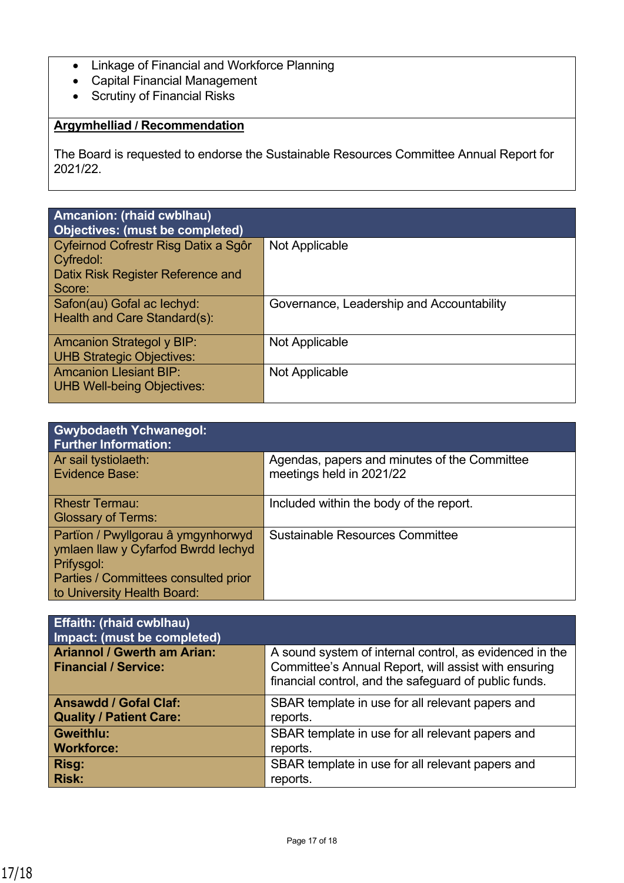- Linkage of Financial and Workforce Planning
- Capital Financial Management
- Scrutiny of Financial Risks

# **Argymhelliad / Recommendation**

The Board is requested to endorse the Sustainable Resources Committee Annual Report for 2021/22.

| Amcanion: (rhaid cwblhau)<br><b>Objectives: (must be completed)</b>                              |                                           |
|--------------------------------------------------------------------------------------------------|-------------------------------------------|
| Cyfeirnod Cofrestr Risg Datix a Sgôr<br>Cyfredol:<br>Datix Risk Register Reference and<br>Score: | Not Applicable                            |
| Safon(au) Gofal ac lechyd:<br>Health and Care Standard(s):                                       | Governance, Leadership and Accountability |
| <b>Amcanion Strategol y BIP:</b><br><b>UHB Strategic Objectives:</b>                             | Not Applicable                            |
| <b>Amcanion Llesiant BIP:</b><br><b>UHB Well-being Objectives:</b>                               | Not Applicable                            |

| <b>Gwybodaeth Ychwanegol:</b><br><b>Further Information:</b>                                                                                                   |                                                                          |
|----------------------------------------------------------------------------------------------------------------------------------------------------------------|--------------------------------------------------------------------------|
| Ar sail tystiolaeth:<br>Evidence Base:                                                                                                                         | Agendas, papers and minutes of the Committee<br>meetings held in 2021/22 |
| <b>Rhestr Termau:</b><br><b>Glossary of Terms:</b>                                                                                                             | Included within the body of the report.                                  |
| Partïon / Pwyllgorau â ymgynhorwyd<br>ymlaen llaw y Cyfarfod Bwrdd Iechyd<br>Prifysgol:<br>Parties / Committees consulted prior<br>to University Health Board: | <b>Sustainable Resources Committee</b>                                   |

| <b>Effaith: (rhaid cwblhau)</b><br>Impact: (must be completed)    |                                                                                                                                                                          |
|-------------------------------------------------------------------|--------------------------------------------------------------------------------------------------------------------------------------------------------------------------|
| <b>Ariannol / Gwerth am Arian:</b><br><b>Financial / Service:</b> | A sound system of internal control, as evidenced in the<br>Committee's Annual Report, will assist with ensuring<br>financial control, and the safeguard of public funds. |
| <b>Ansawdd / Gofal Claf:</b>                                      | SBAR template in use for all relevant papers and                                                                                                                         |
| <b>Quality / Patient Care:</b>                                    | reports.                                                                                                                                                                 |
| <b>Gweithlu:</b>                                                  | SBAR template in use for all relevant papers and                                                                                                                         |
| <b>Workforce:</b>                                                 | reports.                                                                                                                                                                 |
| Risg:                                                             | SBAR template in use for all relevant papers and                                                                                                                         |
| <b>Risk:</b>                                                      | reports.                                                                                                                                                                 |